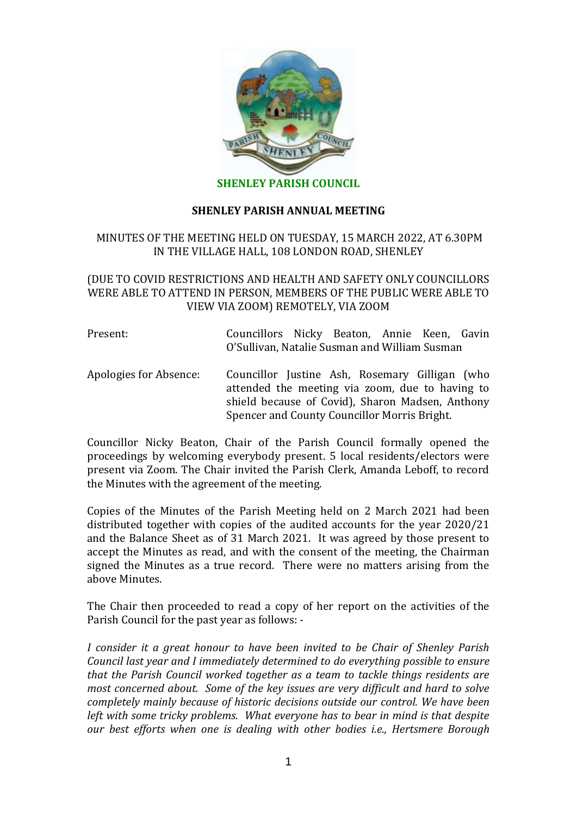

## **SHENLEY PARISH ANNUAL MEETING**

# MINUTES OF THE MEETING HELD ON TUESDAY, 15 MARCH 2022, AT 6.30PM IN THE VILLAGE HALL, 108 LONDON ROAD, SHENLEY

# (DUE TO COVID RESTRICTIONS AND HEALTH AND SAFETY ONLY COUNCILLORS WERE ABLE TO ATTEND IN PERSON, MEMBERS OF THE PUBLIC WERE ABLE TO VIEW VIA ZOOM) REMOTELY, VIA ZOOM

| Present: | Councillors Nicky Beaton, Annie Keen, Gavin   |  |  |  |  |  |
|----------|-----------------------------------------------|--|--|--|--|--|
|          | O'Sullivan, Natalie Susman and William Susman |  |  |  |  |  |

Apologies for Absence: Councillor Justine Ash, Rosemary Gilligan (who attended the meeting via zoom, due to having to shield because of Covid), Sharon Madsen, Anthony Spencer and County Councillor Morris Bright.

Councillor Nicky Beaton, Chair of the Parish Council formally opened the proceedings by welcoming everybody present. 5 local residents/electors were present via Zoom. The Chair invited the Parish Clerk, Amanda Leboff, to record the Minutes with the agreement of the meeting.

Copies of the Minutes of the Parish Meeting held on 2 March 2021 had been distributed together with copies of the audited accounts for the year 2020/21 and the Balance Sheet as of 31 March 2021. It was agreed by those present to accept the Minutes as read, and with the consent of the meeting, the Chairman signed the Minutes as a true record. There were no matters arising from the above Minutes.

The Chair then proceeded to read a copy of her report on the activities of the Parish Council for the past year as follows: -

*I consider it a great honour to have been invited to be Chair of Shenley Parish Council last year and I immediately determined to do everything possible to ensure that the Parish Council worked together as a team to tackle things residents are most concerned about. Some of the key issues are very difficult and hard to solve completely mainly because of historic decisions outside our control. We have been left with some tricky problems. What everyone has to bear in mind is that despite our best efforts when one is dealing with other bodies i.e., Hertsmere Borough*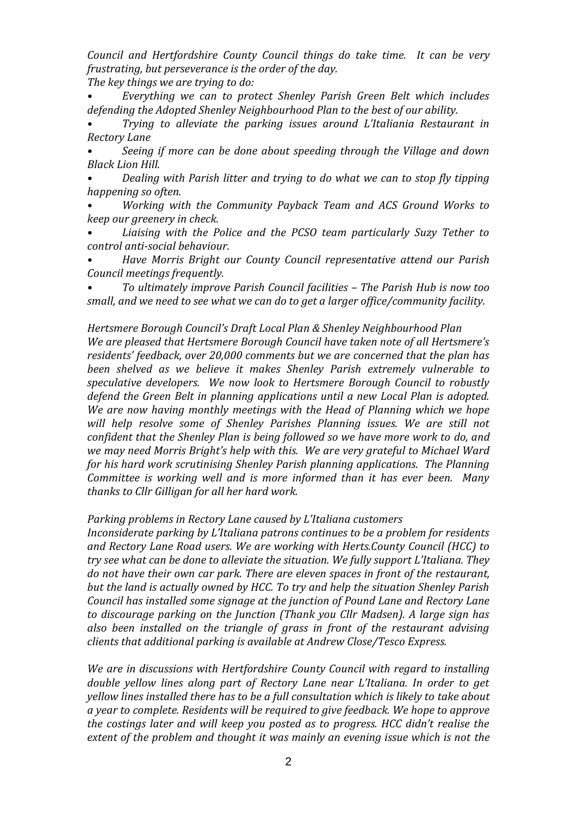*Council and Hertfordshire County Council things do take time. It can be very frustrating, but perseverance is the order of the day.*

*The key things we are trying to do:*

*• Everything we can to protect Shenley Parish Green Belt which includes defending the Adopted Shenley Neighbourhood Plan to the best of our ability.* 

*• Trying to alleviate the parking issues around L'Italiania Restaurant in Rectory Lane*

*• Seeing if more can be done about speeding through the Village and down Black Lion Hill.*

*• Dealing with Parish litter and trying to do what we can to stop fly tipping happening so often.*

*• Working with the Community Payback Team and ACS Ground Works to keep our greenery in check.*

*• Liaising with the Police and the PCSO team particularly Suzy Tether to control anti-social behaviour.*

*• Have Morris Bright our County Council representative attend our Parish Council meetings frequently.*

*• To ultimately improve Parish Council facilities – The Parish Hub is now too small, and we need to see what we can do to get a larger office/community facility.*

*Hertsmere Borough Council's Draft Local Plan & Shenley Neighbourhood Plan We are pleased that Hertsmere Borough Council have taken note of all Hertsmere's residents' feedback, over 20,000 comments but we are concerned that the plan has been shelved as we believe it makes Shenley Parish extremely vulnerable to speculative developers. We now look to Hertsmere Borough Council to robustly defend the Green Belt in planning applications until a new Local Plan is adopted. We are now having monthly meetings with the Head of Planning which we hope will help resolve some of Shenley Parishes Planning issues. We are still not confident that the Shenley Plan is being followed so we have more work to do, and we may need Morris Bright's help with this. We are very grateful to Michael Ward for his hard work scrutinising Shenley Parish planning applications. The Planning Committee is working well and is more informed than it has ever been. Many thanks to Cllr Gilligan for all her hard work.*

*Parking problems in Rectory Lane caused by L'Italiana customers*

*Inconsiderate parking by L'Italiana patrons continues to be a problem for residents and Rectory Lane Road users. We are working with Herts.County Council (HCC) to try see what can be done to alleviate the situation. We fully support L'Italiana. They do not have their own car park. There are eleven spaces in front of the restaurant, but the land is actually owned by HCC. To try and help the situation Shenley Parish Council has installed some signage at the junction of Pound Lane and Rectory Lane to discourage parking on the Junction (Thank you Cllr Madsen). A large sign has also been installed on the triangle of grass in front of the restaurant advising clients that additional parking is available at Andrew Close/Tesco Express.*

*We are in discussions with Hertfordshire County Council with regard to installing double yellow lines along part of Rectory Lane near L'Italiana. In order to get yellow lines installed there has to be a full consultation which is likely to take about a year to complete. Residents will be required to give feedback. We hope to approve the costings later and will keep you posted as to progress. HCC didn't realise the extent of the problem and thought it was mainly an evening issue which is not the*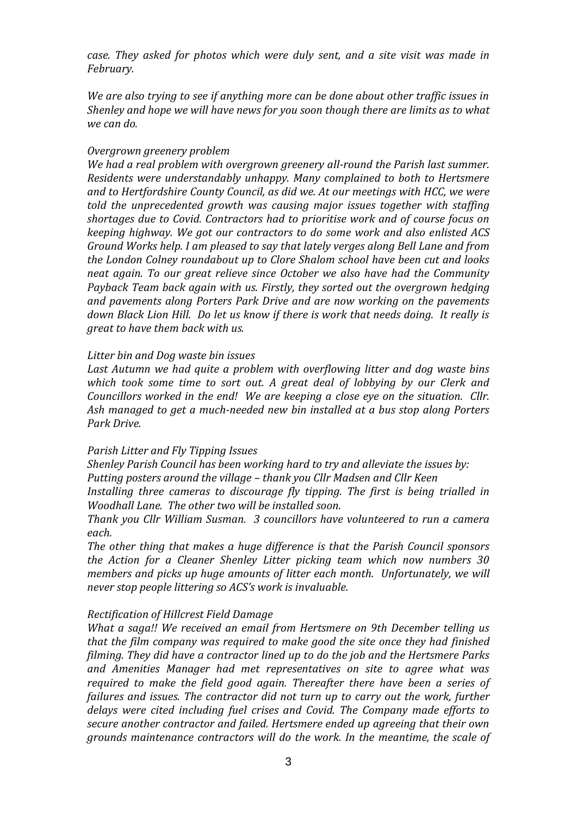*case. They asked for photos which were duly sent, and a site visit was made in February.* 

*We are also trying to see if anything more can be done about other traffic issues in Shenley and hope we will have news for you soon though there are limits as to what we can do.*

## *Overgrown greenery problem*

*We had a real problem with overgrown greenery all-round the Parish last summer. Residents were understandably unhappy. Many complained to both to Hertsmere and to Hertfordshire County Council, as did we. At our meetings with HCC, we were told the unprecedented growth was causing major issues together with staffing shortages due to Covid. Contractors had to prioritise work and of course focus on keeping highway. We got our contractors to do some work and also enlisted ACS Ground Works help. I am pleased to say that lately verges along Bell Lane and from the London Colney roundabout up to Clore Shalom school have been cut and looks neat again. To our great relieve since October we also have had the Community Payback Team back again with us. Firstly, they sorted out the overgrown hedging and pavements along Porters Park Drive and are now working on the pavements down Black Lion Hill. Do let us know if there is work that needs doing. It really is great to have them back with us.*

## *Litter bin and Dog waste bin issues*

*Last Autumn we had quite a problem with overflowing litter and dog waste bins which took some time to sort out. A great deal of lobbying by our Clerk and Councillors worked in the end! We are keeping a close eye on the situation. Cllr. Ash managed to get a much-needed new bin installed at a bus stop along Porters Park Drive.* 

## *Parish Litter and Fly Tipping Issues*

*Shenley Parish Council has been working hard to try and alleviate the issues by: Putting posters around the village – thank you Cllr Madsen and Cllr Keen*

*Installing three cameras to discourage fly tipping. The first is being trialled in Woodhall Lane. The other two will be installed soon.*

*Thank you Cllr William Susman. 3 councillors have volunteered to run a camera each.*

*The other thing that makes a huge difference is that the Parish Council sponsors the Action for a Cleaner Shenley Litter picking team which now numbers 30 members and picks up huge amounts of litter each month. Unfortunately, we will never stop people littering so ACS's work is invaluable.*

# *Rectification of Hillcrest Field Damage*

*What a saga!! We received an email from Hertsmere on 9th December telling us that the film company was required to make good the site once they had finished filming. They did have a contractor lined up to do the job and the Hertsmere Parks and Amenities Manager had met representatives on site to agree what was required to make the field good again. Thereafter there have been a series of*  failures and issues. The contractor did not turn up to carry out the work, further *delays were cited including fuel crises and Covid. The Company made efforts to secure another contractor and failed. Hertsmere ended up agreeing that their own grounds maintenance contractors will do the work. In the meantime, the scale of*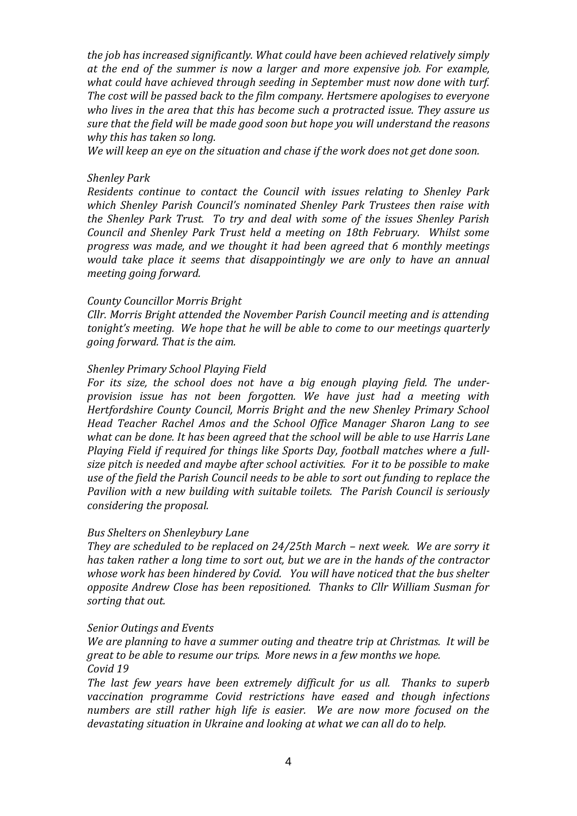*the job has increased significantly. What could have been achieved relatively simply at the end of the summer is now a larger and more expensive job. For example, what could have achieved through seeding in September must now done with turf. The cost will be passed back to the film company. Hertsmere apologises to everyone who lives in the area that this has become such a protracted issue. They assure us sure that the field will be made good soon but hope you will understand the reasons why this has taken so long.* 

*We will keep an eye on the situation and chase if the work does not get done soon.*

### *Shenley Park*

*Residents continue to contact the Council with issues relating to Shenley Park which Shenley Parish Council's nominated Shenley Park Trustees then raise with the Shenley Park Trust. To try and deal with some of the issues Shenley Parish Council and Shenley Park Trust held a meeting on 18th February. Whilst some progress was made, and we thought it had been agreed that 6 monthly meetings would take place it seems that disappointingly we are only to have an annual meeting going forward.* 

## *County Councillor Morris Bright*

*Cllr. Morris Bright attended the November Parish Council meeting and is attending tonight's meeting. We hope that he will be able to come to our meetings quarterly going forward. That is the aim.*

#### *Shenley Primary School Playing Field*

*For its size, the school does not have a big enough playing field. The underprovision issue has not been forgotten. We have just had a meeting with Hertfordshire County Council, Morris Bright and the new Shenley Primary School Head Teacher Rachel Amos and the School Office Manager Sharon Lang to see what can be done. It has been agreed that the school will be able to use Harris Lane Playing Field if required for things like Sports Day, football matches where a fullsize pitch is needed and maybe after school activities. For it to be possible to make use of the field the Parish Council needs to be able to sort out funding to replace the Pavilion with a new building with suitable toilets. The Parish Council is seriously considering the proposal.*

#### *Bus Shelters on Shenleybury Lane*

*They are scheduled to be replaced on 24/25th March – next week. We are sorry it has taken rather a long time to sort out, but we are in the hands of the contractor whose work has been hindered by Covid. You will have noticed that the bus shelter opposite Andrew Close has been repositioned. Thanks to Cllr William Susman for sorting that out.*

#### *Senior Outings and Events*

*We are planning to have a summer outing and theatre trip at Christmas. It will be great to be able to resume our trips. More news in a few months we hope. Covid 19*

*The last few years have been extremely difficult for us all. Thanks to superb vaccination programme Covid restrictions have eased and though infections numbers are still rather high life is easier. We are now more focused on the devastating situation in Ukraine and looking at what we can all do to help.*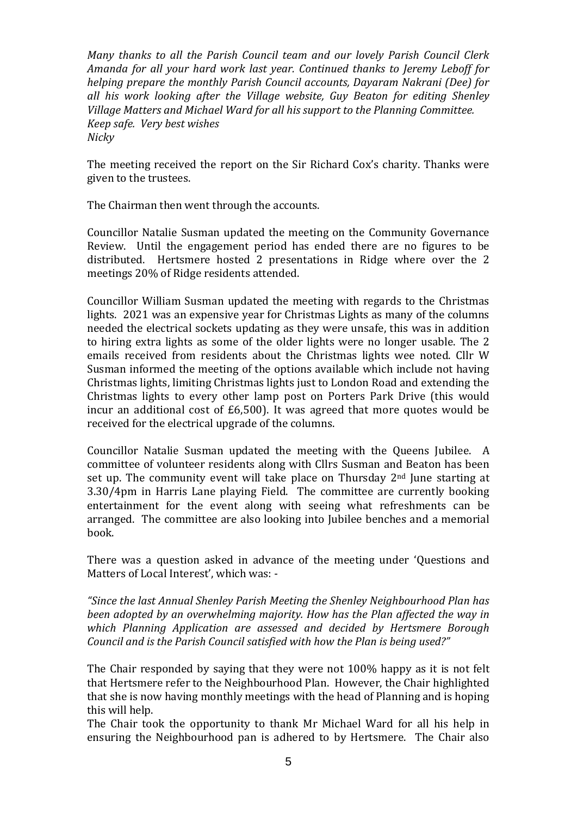*Many thanks to all the Parish Council team and our lovely Parish Council Clerk Amanda for all your hard work last year. Continued thanks to Jeremy Leboff for helping prepare the monthly Parish Council accounts, Dayaram Nakrani (Dee) for all his work looking after the Village website, Guy Beaton for editing Shenley Village Matters and Michael Ward for all his support to the Planning Committee. Keep safe. Very best wishes Nicky*

The meeting received the report on the Sir Richard Cox's charity. Thanks were given to the trustees.

The Chairman then went through the accounts.

Councillor Natalie Susman updated the meeting on the Community Governance Review. Until the engagement period has ended there are no figures to be distributed. Hertsmere hosted 2 presentations in Ridge where over the 2 meetings 20% of Ridge residents attended.

Councillor William Susman updated the meeting with regards to the Christmas lights. 2021 was an expensive year for Christmas Lights as many of the columns needed the electrical sockets updating as they were unsafe, this was in addition to hiring extra lights as some of the older lights were no longer usable. The 2 emails received from residents about the Christmas lights wee noted. Cllr W Susman informed the meeting of the options available which include not having Christmas lights, limiting Christmas lights just to London Road and extending the Christmas lights to every other lamp post on Porters Park Drive (this would incur an additional cost of £6,500). It was agreed that more quotes would be received for the electrical upgrade of the columns.

Councillor Natalie Susman updated the meeting with the Queens Jubilee. A committee of volunteer residents along with Cllrs Susman and Beaton has been set up. The community event will take place on Thursday 2<sup>nd</sup> June starting at 3.30/4pm in Harris Lane playing Field. The committee are currently booking entertainment for the event along with seeing what refreshments can be arranged. The committee are also looking into Jubilee benches and a memorial book.

There was a question asked in advance of the meeting under 'Questions and Matters of Local Interest', which was: -

*"Since the last Annual Shenley Parish Meeting the Shenley Neighbourhood Plan has been adopted by an overwhelming majority. How has the Plan affected the way in which Planning Application are assessed and decided by Hertsmere Borough Council and is the Parish Council satisfied with how the Plan is being used?"*

The Chair responded by saying that they were not 100% happy as it is not felt that Hertsmere refer to the Neighbourhood Plan. However, the Chair highlighted that she is now having monthly meetings with the head of Planning and is hoping this will help.

The Chair took the opportunity to thank Mr Michael Ward for all his help in ensuring the Neighbourhood pan is adhered to by Hertsmere. The Chair also